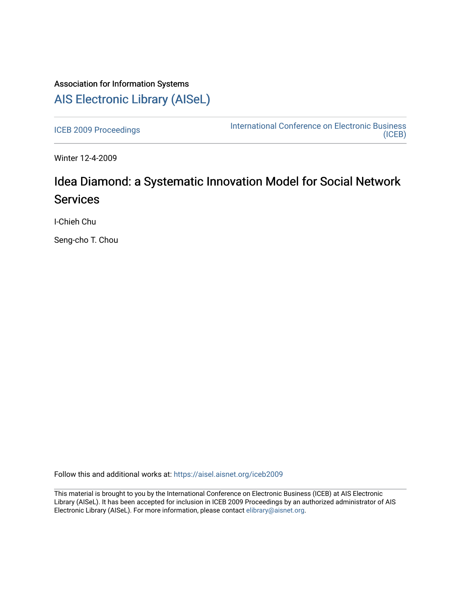## Association for Information Systems [AIS Electronic Library \(AISeL\)](https://aisel.aisnet.org/)

[ICEB 2009 Proceedings](https://aisel.aisnet.org/iceb2009) **International Conference on Electronic Business** [\(ICEB\)](https://aisel.aisnet.org/iceb) 

Winter 12-4-2009

# Idea Diamond: a Systematic Innovation Model for Social Network **Services**

I-Chieh Chu

Seng-cho T. Chou

Follow this and additional works at: [https://aisel.aisnet.org/iceb2009](https://aisel.aisnet.org/iceb2009?utm_source=aisel.aisnet.org%2Ficeb2009%2F125&utm_medium=PDF&utm_campaign=PDFCoverPages)

This material is brought to you by the International Conference on Electronic Business (ICEB) at AIS Electronic Library (AISeL). It has been accepted for inclusion in ICEB 2009 Proceedings by an authorized administrator of AIS Electronic Library (AISeL). For more information, please contact [elibrary@aisnet.org.](mailto:elibrary@aisnet.org%3E)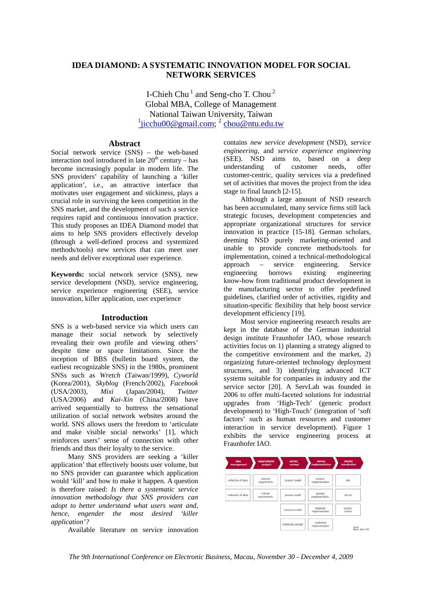## **IDEA DIAMOND: A SYSTEMATIC INNOVATION MODEL FOR SOCIAL NETWORK SERVICES**

I-Chieh Chu<sup>1</sup> and Seng-cho T. Chou<sup>2</sup> Global MBA, College of Management National Taiwan University, Taiwan <sup>1</sup>jicchu00@gmail.com; <sup>2</sup> chou@ntu.edu.tw

## **Abstract**

Social network service (SNS) – the web-based interaction tool introduced in late  $20<sup>th</sup>$  century – has become increasingly popular in modern life. The SNS providers' capability of launching a 'killer application', i.e., an attractive interface that motivates user engagement and stickiness, plays a crucial role in surviving the keen competition in the SNS market, and the development of such a service requires rapid and continuous innovation practice. This study proposes an IDEA Diamond model that aims to help SNS providers effectively develop (through a well-defined process and systemized methods/tools) new services that can meet user needs and deliver exceptional user experience.

**Keywords:** social network service (SNS), new service development (NSD), service engineering, service experience engineering (SEE), service innovation, killer application, user experience

## **Introduction**

SNS is a web-based service via which users can manage their social network by selectively revealing their own profile and viewing others' despite time or space limitations. Since the inception of BBS (bulletin board system, the earliest recognizable SNS) in the 1980s, prominent SNSs such as *Wretch* (Taiwan/1999), *Cyworld* (Korea/2001), *Skyblog* (French/2002), *Facebook* (USA/2003), *Mixi* (Japan/2004), *Twitter* (USA/2006) and *Kai-Xin* (China/2008) have arrived sequentially to buttress the sensational utilization of social network websites around the world. SNS allows users the freedom to 'articulate and make visible social networks' [1], which reinforces users' sense of connection with other friends and thus their loyalty to the service.

Many SNS providers are seeking a 'killer application' that effectively boosts user volume, but no SNS provider can guarantee which application would 'kill' and how to make it happen. A question is therefore raised: *Is there a systematic service innovation methodology that SNS providers can adopt to better understand what users want and, hence, engender the most desired 'killer application'?* 

Available literature on service innovation

contains *new service development* (NSD), *service engineering*, and *service experience engineering* (SEE). NSD aims to, based on a deep understanding of customer needs, offer customer-centric, quality services via a predefined set of activities that moves the project from the idea stage to final launch [2-15].

Although a large amount of NSD research has been accumulated, many service firms still lack strategic focuses, development competencies and appropriate organizational structures for service innovation in practice [15-18]. German scholars, deeming NSD purely marketing-oriented and unable to provide concrete methods/tools for implementation, coined a technical-methodological approach – service engineering. Service engineering borrows existing engineering know-how from traditional product development in the manufacturing sector to offer predefined guidelines, clarified order of activities, rigidity and situation-specific flexibility that help boost service development efficiency [19].

Most service engineering research results are kept in the database of the German industrial design institute Fraunhofer IAO, whose research activities focus on 1) planning a strategy aligned to the competitive environment and the market, 2) organizing future-oriented technology deployment structures, and 3) identifying advanced ICT systems suitable for companies in industry and the service sector [20]. A ServLab was founded in 2006 to offer multi-faceted solutions for industrial upgrades from 'High-Tech' (generic product development) to 'High-Touch' (integration of 'soft factors' such as human resources and customer interaction in service development). Figure 1 exhibits the service engineering process at Fraunhofer IAO.

| idea<br>management  | requirements<br>analysis | service<br>concept | service<br>implementation   | market<br>introduction        |
|---------------------|--------------------------|--------------------|-----------------------------|-------------------------------|
| collection of ideas | external<br>requirements | product model      | product<br>implementation   | Susan<br>test                 |
| evaluation of ideas | internal<br>requirements | process model      | process<br>implementation   | roll-out                      |
|                     |                          | resources model    | resources<br>implementation | <b>SUCCeSS</b><br>control     |
|                     |                          | marketing concept  | marketing<br>implementation | Source:<br>Meinen, Barth 2002 |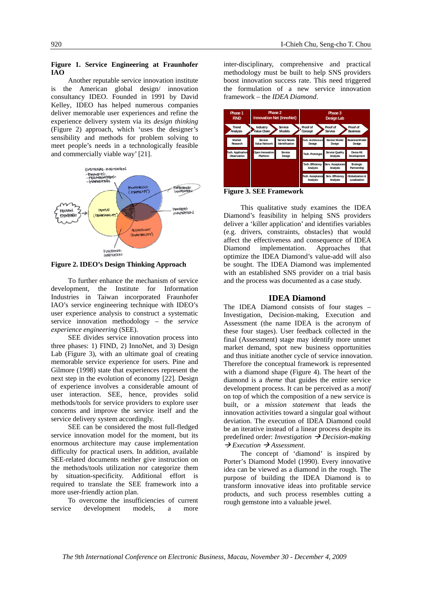#### **Figure 1. Service Engineering at Fraunhofer IAO**

Another reputable service innovation institute is the American global design/ innovation consultancy IDEO. Founded in 1991 by David Kelley, IDEO has helped numerous companies deliver memorable user experiences and refine the experience delivery system via its *design thinking* (Figure 2) approach, which 'uses the designer's sensibility and methods for problem solving to meet people's needs in a technologically feasible and commercially viable way' [21].



**Figure 2. IDEO's Design Thinking Approach** 

To further enhance the mechanism of service development, the Institute for Information Industries in Taiwan incorporated Fraunhofer IAO's service engineering technique with IDEO's user experience analysis to construct a systematic service innovation methodology – the *service experience engineering* (SEE).

SEE divides service innovation process into three phases: 1) FIND, 2) InnoNet, and 3) Design Lab (Figure 3), with an ultimate goal of creating memorable service experience for users. Pine and Gilmore (1998) state that experiences represent the next step in the evolution of economy [22]. Design of experience involves a considerable amount of user interaction. SEE, hence, provides solid methods/tools for service providers to explore user concerns and improve the service itself and the service delivery system accordingly.

SEE can be considered the most full-fledged service innovation model for the moment, but its enormous architecture may cause implementation difficulty for practical users. In addition, available SEE-related documents neither give instruction on the methods/tools utilization nor categorize them by situation-specificity. Additional effort is required to translate the SEE framework into a more user-friendly action plan.

To overcome the insufficiencies of current service development models, a more

inter-disciplinary, comprehensive and practical methodology must be built to help SNS providers boost innovation success rate. This need triggered the formulation of a new service innovation framework – the *IDEA Diamond*.



**Figure 3. SEE Framework** 

This qualitative study examines the IDEA Diamond's feasibility in helping SNS providers deliver a 'killer application' and identifies variables (e.g. drivers, constraints, obstacles) that would affect the effectiveness and consequence of IDEA Diamond implementation. Approaches that optimize the IDEA Diamond's value-add will also be sought. The IDEA Diamond was implemented with an established SNS provider on a trial basis and the process was documented as a case study.

## **IDEA Diamond**

The IDEA Diamond consists of four stages – Investigation, Decision-making, Execution and Assessment (the name IDEA is the acronym of these four stages). User feedback collected in the final (Assessment) stage may identify more unmet market demand, spot new business opportunities and thus initiate another cycle of service innovation. Therefore the conceptual framework is represented with a diamond shape (Figure 4). The heart of the diamond is a *theme* that guides the entire service development process. It can be perceived as a *motif* on top of which the composition of a new service is built, or a *mission statement* that leads the innovation activities toward a singular goal without deviation. The execution of IDEA Diamond could be an iterative instead of a linear process despite its predefined order: *Investigation*  $\rightarrow$  *Decision-making*  $\rightarrow$  *Execution*  $\rightarrow$  *Assessment.* 

The concept of 'diamond' is inspired by Porter's Diamond Model (1990). Every innovative idea can be viewed as a diamond in the rough. The purpose of building the IDEA Diamond is to transform innovative ideas into profitable service products, and such process resembles cutting a rough gemstone into a valuable jewel.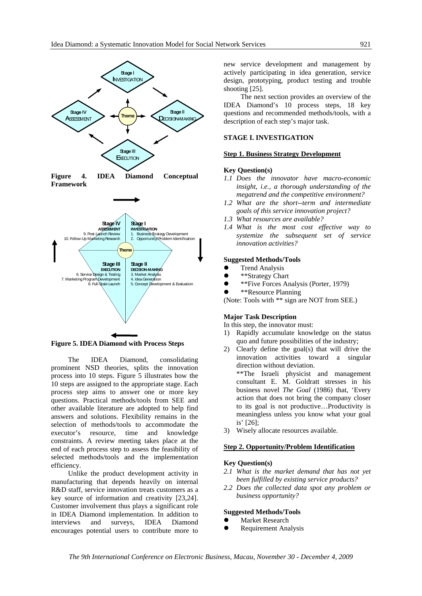



**Figure 5. IDEA Diamond with Process Steps** 

The IDEA Diamond, consolidating prominent NSD theories, splits the innovation process into 10 steps. Figure 5 illustrates how the 10 steps are assigned to the appropriate stage. Each process step aims to answer one or more key questions. Practical methods/tools from SEE and other available literature are adopted to help find answers and solutions. Flexibility remains in the selection of methods/tools to accommodate the executor's resource, time and knowledge constraints. A review meeting takes place at the end of each process step to assess the feasibility of selected methods/tools and the implementation efficiency.

Unlike the product development activity in manufacturing that depends heavily on internal R&D staff, service innovation treats customers as a key source of information and creativity [23,24]. Customer involvement thus plays a significant role in IDEA Diamond implementation. In addition to interviews and surveys, IDEA Diamond encourages potential users to contribute more to

new service development and management by actively participating in idea generation, service design, prototyping, product testing and trouble shooting [25].

The next section provides an overview of the IDEA Diamond's 10 process steps, 18 key questions and recommended methods/tools, with a description of each step's major task.

## **STAGE I. INVESTIGATION**

#### **Step 1. Business Strategy Development**

#### **Key Question(s)**

- *1.1 Does the innovator have macro-economic insight, i.e., a thorough understanding of the megatrend and the competitive environment?*
- *1.2 What are the short--term and intermediate goals of this service innovation project?*
- *1.3 What resources are available?*
- *1.4 What is the most cost effective way to systemize the subsequent set of service innovation activities?*

#### **Suggested Methods/Tools**

- Trend Analysis<br>•  $*$ <sup>8</sup> Xtrategy Chara
- \*\*Strategy Chart
- \*\*Five Forces Analysis (Porter, 1979)
- \*\*Resource Planning

(Note: Tools with \*\* sign are NOT from SEE.)

## **Major Task Description**

In this step, the innovator must:

- 1) Rapidly accumulate knowledge on the status quo and future possibilities of the industry;
- 2) Clearly define the goal(s) that will drive the innovation activities toward a singular direction without deviation.

\*\*The Israeli physicist and management consultant E. M. Goldratt stresses in his business novel *The Goal* (1986) that, 'Every action that does not bring the company closer to its goal is not productive…Productivity is meaningless unless you know what your goal is' [26];

3) Wisely allocate resources available.

## **Step 2. Opportunity/Problem Identification**

## **Key Question(s)**

- *2.1 What is the market demand that has not yet been fulfilled by existing service products?*
- *2.2 Does the collected data spot any problem or business opportunity?*

## **Suggested Methods/Tools**

- Market Research
- Requirement Analysis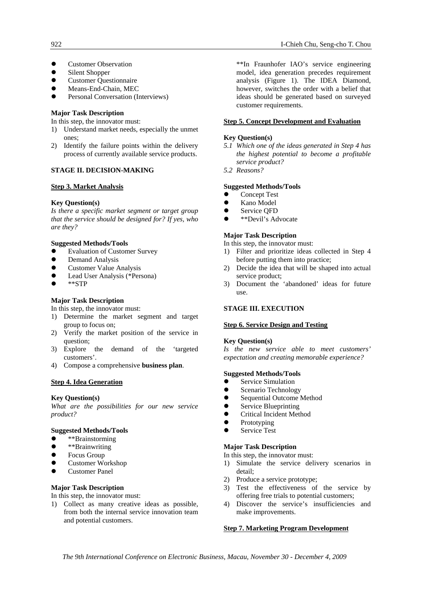- **Customer Observation**
- Silent Shopper
- Customer Questionnaire
- Means-End-Chain, MEC
- Personal Conversation (Interviews)

## **Major Task Description**

In this step, the innovator must:

- 1) Understand market needs, especially the unmet ones;
- 2) Identify the failure points within the delivery process of currently available service products.

## **STAGE II. DECISION-MAKING**

#### **Step 3. Market Analysis**

## **Key Question(s)**

*Is there a specific market segment or target group that the service should be designed for? If yes, who are they?*

## **Suggested Methods/Tools**

- Evaluation of Customer Survey
- Demand Analysis
- Customer Value Analysis
- Lead User Analysis (\*Persona)
- z \*\*STP

## **Major Task Description**

In this step, the innovator must:

- 1) Determine the market segment and target group to focus on;
- 2) Verify the market position of the service in question;
- 3) Explore the demand of the 'targeted customers'.
- 4) Compose a comprehensive **business plan**.

#### **Step 4. Idea Generation**

#### **Key Question(s)**

*What are the possibilities for our new service product?*

#### **Suggested Methods/Tools**

- \*\*Brainstorming
- \*\*Brainwriting
- Focus Group
- Customer Workshop
- **Customer Panel**

## **Major Task Description**

In this step, the innovator must:

1) Collect as many creative ideas as possible, from both the internal service innovation team and potential customers.

\*\*In Fraunhofer IAO's service engineering model, idea generation precedes requirement analysis (Figure 1). The IDEA Diamond, however, switches the order with a belief that ideas should be generated based on surveyed customer requirements.

## **Step 5. Concept Development and Evaluation**

## **Key Question(s)**

- *5.1 Which one of the ideas generated in Step 4 has the highest potential to become a profitable service product?*
- *5.2 Reasons?*

#### **Suggested Methods/Tools**

- **Concept Test**
- Kano Model
- Service QFD
- $\bullet$  \*\*Devil's Advocate

## **Major Task Description**

In this step, the innovator must:

- 1) Filter and prioritize ideas collected in Step 4 before putting them into practice;
- 2) Decide the idea that will be shaped into actual service product:
- 3) Document the 'abandoned' ideas for future use.

## **STAGE III. EXECUTION**

#### **Step 6. Service Design and Testing**

#### **Key Question(s)**

*Is the new service able to meet customers' expectation and creating memorable experience?*

#### **Suggested Methods/Tools**

- Service Simulation
- Scenario Technology
- Sequential Outcome Method<br>• Service Bluenrinting
- Service Blueprinting
- **•** Critical Incident Method
- Prototyping<br>• Service Test
- Service Test

#### **Major Task Description**

In this step, the innovator must:

- 1) Simulate the service delivery scenarios in detail;
- 2) Produce a service prototype;
- 3) Test the effectiveness of the service by offering free trials to potential customers;
- 4) Discover the service's insufficiencies and make improvements.

#### **Step 7. Marketing Program Development**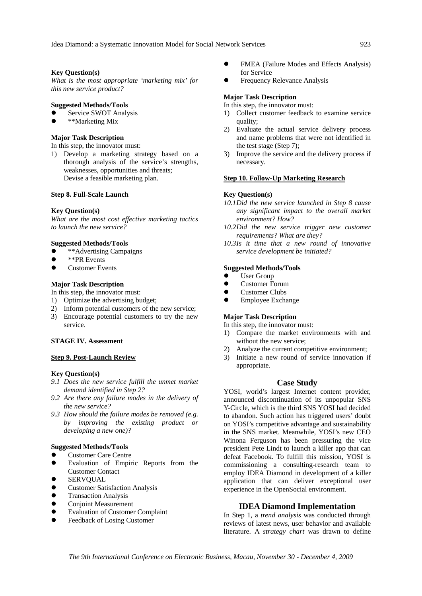## **Key Question(s)**

*What is the most appropriate 'marketing mix' for this new service product?*

## **Suggested Methods/Tools**

- Service SWOT Analysis
- \*\*Marketing Mix

## **Major Task Description**

In this step, the innovator must:

1) Develop a marketing strategy based on a thorough analysis of the service's strengths, weaknesses, opportunities and threats; Devise a feasible marketing plan.

#### **Step 8. Full-Scale Launch**

#### **Key Question(s)**

*What are the most cost effective marketing tactics to launch the new service?*

#### **Suggested Methods/Tools**

- \*\*Advertising Campaigns
- \*\*PR Events
- Customer Events

## **Major Task Description**

In this step, the innovator must:

- 1) Optimize the advertising budget;
- 2) Inform potential customers of the new service;
- 3) Encourage potential customers to try the new service.

## **STAGE IV. Assessment**

#### **Step 9. Post-Launch Review**

#### **Key Question(s)**

- *9.1 Does the new service fulfill the unmet market demand identified in Step 2?*
- *9.2 Are there any failure modes in the delivery of the new service?*
- *9.3 How should the failure modes be removed (e.g. by improving the existing product or developing a new one)?*

## **Suggested Methods/Tools**

- Customer Care Centre
- Evaluation of Empiric Reports from the Customer Contact
- **SERVOUAL**
- **Customer Satisfaction Analysis**
- z Transaction Analysis
- **Conjoint Measurement**
- Evaluation of Customer Complaint
- Feedback of Losing Customer
- FMEA (Failure Modes and Effects Analysis) for Service
- Frequency Relevance Analysis

## **Major Task Description**

In this step, the innovator must:

- 1) Collect customer feedback to examine service quality;
- 2) Evaluate the actual service delivery process and name problems that were not identified in the test stage (Step 7);
- 3) Improve the service and the delivery process if necessary.

#### **Step 10. Follow-Up Marketing Research**

#### **Key Question(s)**

- *10.1Did the new service launched in Step 8 cause any significant impact to the overall market environment? How?*
- *10.2Did the new service trigger new customer requirements? What are they?*
- *10.3Is it time that a new round of innovative service development be initiated?*

#### **Suggested Methods/Tools**

- $\bullet$  User Group
- Customer Forum
- $\bullet$  Customer Clubs
- Employee Exchange

## **Major Task Description**

In this step, the innovator must:

- 1) Compare the market environments with and without the new service;
- 2) Analyze the current competitive environment;
- 3) Initiate a new round of service innovation if appropriate.

#### **Case Study**

YOSI, world's largest Internet content provider, announced discontinuation of its unpopular SNS Y-Circle, which is the third SNS YOSI had decided to abandon. Such action has triggered users' doubt on YOSI's competitive advantage and sustainability in the SNS market. Meanwhile, YOSI's new CEO Winona Ferguson has been pressuring the vice president Pete Lindt to launch a killer app that can defeat Facebook. To fulfill this mission, YOSI is commissioning a consulting-research team to employ IDEA Diamond in development of a killer application that can deliver exceptional user experience in the OpenSocial environment.

## **IDEA Diamond Implementation**

In Step 1, a *trend analysis* was conducted through reviews of latest news, user behavior and available literature. A *strategy chart* was drawn to define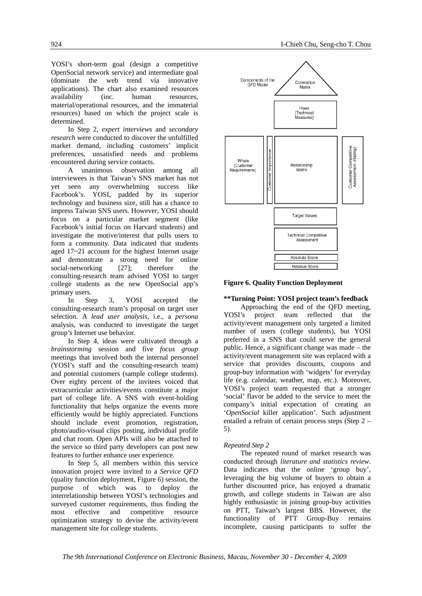YOSI's short-term goal (design a competitive OpenSocial network service) and intermediate goal (dominate the web trend via innovative applications). The chart also examined resources availability (inc. human resources, material/operational resources, and the immaterial resources) based on which the project scale is determined.

In Step 2, *expert interviews* and *secondary research* were conducted to discover the unfulfilled market demand, including customers' implicit preferences, unsatisfied needs and problems encountered during service contacts.

A unanimous observation among all interviewees is that Taiwan's SNS market has not yet seen any overwhelming success like Facebook's. YOSI, padded by its superior technology and business size, still has a chance to impress Taiwan SNS users. However, YOSI should focus on a particular market segment (like Facebook's initial focus on Harvard students) and investigate the motive/interest that pulls users to form a community. Data indicated that students aged 17~21 account for the highest Internet usage and demonstrate a strong need for online social-networking [27]; therefore the consulting-research team advised YOSI to target college students as the new OpenSocial app's primary users.

In Step 3, YOSI accepted the consulting-research team's proposal on target user selection. A *lead user analysis*, i.e., a *persona* analysis, was conducted to investigate the target group's Internet use behavior.

In Step 4, ideas were cultivated through a *brainstorming* session and five *focus group* meetings that involved both the internal personnel (YOSI's staff and the consulting-research team) and potential customers (sample college students). Over eighty percent of the invitees voiced that extracurricular activities/events constitute a major part of college life. A SNS with event-holding functionality that helps organize the events more efficiently would be highly appreciated. Functions should include event promotion, registration, photo/audio-visual clips posting, individual profile and chat room. Open APIs will also be attached to the service so third party developers can post new features to further enhance user experience.

In Step 5, all members within this service innovation project were invited to a *Service QFD* (quality function deployment, Figure 6) session, the purpose of which was to deploy the interrelationship between YOSI's technologies and surveyed customer requirements, thus finding the most effective and competitive resource optimization strategy to devise the activity/event management site for college students.



**Figure 6. Quality Function Deployment** 

## **\*\*Turning Point: YOSI project team's feedback**

Approaching the end of the QFD meeting, YOSI's project team reflected that the activity/event management only targeted a limited number of users (college students), but YOSI preferred in a SNS that could serve the general public. Hence, a significant change was made – the activity/event management site was replaced with a service that provides discounts, coupons and group-buy information with 'widgets' for everyday life (e.g. calendar, weather, map, etc.). Moreover, YOSI's project team requested that a stronger 'social' flavor be added to the service to meet the company's initial expectation of creating an '*OpenSocial* killer application'. Such adjustment entailed a refrain of certain process steps (Step 2 – 5).

## *Repeated Step 2*

The repeated round of market research was conducted through *literature and statistics review*. Data indicates that the online 'group buy', leveraging the big volume of buyers to obtain a further discounted price, has enjoyed a dramatic growth, and college students in Taiwan are also highly enthusiastic in joining group-buy activities on PTT, Taiwan's largest BBS. However, the functionality of PTT Group-Buy remains incomplete, causing participants to suffer the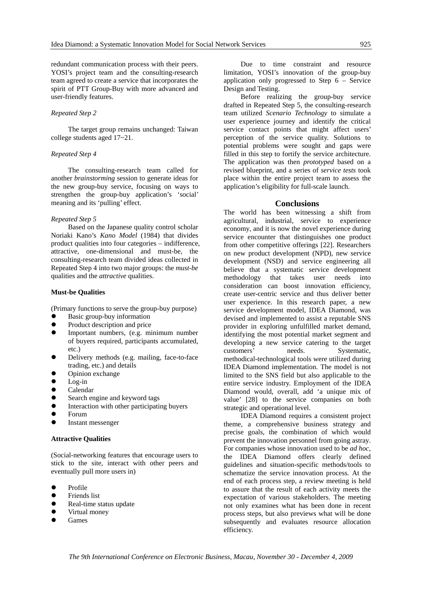redundant communication process with their peers. YOSI's project team and the consulting-research team agreed to create a service that incorporates the spirit of PTT Group-Buy with more advanced and user-friendly features.

## *Repeated Step 2*

The target group remains unchanged: Taiwan college students aged 17~21.

## *Repeated Step 4*

The consulting-research team called for another *brainstorming* session to generate ideas for the new group-buy service, focusing on ways to strengthen the group-buy application's 'social' meaning and its 'pulling' effect.

#### *Repeated Step 5*

Based on the Japanese quality control scholar Noriaki Kano's *Kano Model* (1984) that divides product qualities into four categories – indifference, attractive, one-dimensional and must-be, the consulting-research team divided ideas collected in Repeated Step 4 into two major groups: the *must-be*  qualities and the *attractive* qualities.

## **Must-be Qualities**

(Primary functions to serve the group-buy purpose)

- Basic group-buy information
- Product description and price
- Important numbers, (e.g. minimum number of buyers required, participants accumulated, etc.)
- Delivery methods (e.g. mailing, face-to-face trading, etc.) and details
- Opinion exchange
- $Log-in$
- Calendar
- Search engine and keyword tags
- Interaction with other participating buyers
- Forum
- Instant messenger

#### **Attractive Qualities**

(Social-networking features that encourage users to stick to the site, interact with other peers and eventually pull more users in)

- Profile
- Friends list
- Real-time status update
- Virtual money
- **Games**

Due to time constraint and resource limitation, YOSI's innovation of the group-buy application only progressed to Step 6 – Service Design and Testing.

Before realizing the group-buy service drafted in Repeated Step 5, the consulting-research team utilized *Scenario Technology* to simulate a user experience journey and identify the critical service contact points that might affect users' perception of the service quality. Solutions to potential problems were sought and gaps were filled in this step to fortify the service architecture. The application was then *prototyped* based on a revised blueprint, and a series of *service tests* took place within the entire project team to assess the application's eligibility for full-scale launch.

#### **Conclusions**

The world has been witnessing a shift from agricultural, industrial, service to experience economy, and it is now the novel experience during service encounter that distinguishes one product from other competitive offerings [22]. Researchers on new product development (NPD), new service development (NSD) and service engineering all believe that a systematic service development methodology that takes user needs into consideration can boost innovation efficiency, create user-centric service and thus deliver better user experience. In this research paper, a new service development model, IDEA Diamond, was devised and implemented to assist a reputable SNS provider in exploring unfulfilled market demand, identifying the most potential market segment and developing a new service catering to the target customers' needs. Systematic, methodical-technological tools were utilized during IDEA Diamond implementation. The model is not limited to the SNS field but also applicable to the entire service industry. Employment of the IDEA Diamond would, overall, add 'a unique mix of value' [28] to the service companies on both strategic and operational level.

IDEA Diamond requires a consistent project theme, a comprehensive business strategy and precise goals, the combination of which would prevent the innovation personnel from going astray. For companies whose innovation used to be *ad hoc*, the IDEA Diamond offers clearly defined guidelines and situation-specific methods/tools to schematize the service innovation process. At the end of each process step, a review meeting is held to assure that the result of each activity meets the expectation of various stakeholders. The meeting not only examines what has been done in recent process steps, but also previews what will be done subsequently and evaluates resource allocation efficiency.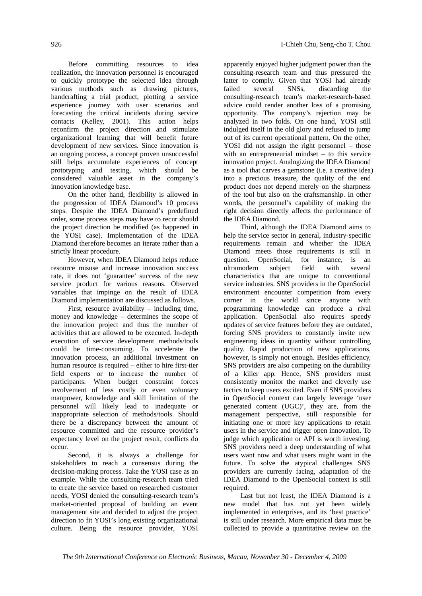Before committing resources to idea realization, the innovation personnel is encouraged to quickly prototype the selected idea through various methods such as drawing pictures, handcrafting a trial product, plotting a service experience journey with user scenarios and forecasting the critical incidents during service contacts (Kelley, 2001). This action helps reconfirm the project direction and stimulate organizational learning that will benefit future development of new services. Since innovation is an ongoing process, a concept proven unsuccessful still helps accumulate experiences of concept prototyping and testing, which should be considered valuable asset in the company's innovation knowledge base.

On the other hand, flexibility is allowed in the progression of IDEA Diamond's 10 process steps. Despite the IDEA Diamond's predefined order, some process steps may have to recur should the project direction be modified (as happened in the YOSI case). Implementation of the IDEA Diamond therefore becomes an iterate rather than a strictly linear procedure.

However, when IDEA Diamond helps reduce resource misuse and increase innovation success rate, it does not 'guarantee' success of the new service product for various reasons. Observed variables that impinge on the result of IDEA Diamond implementation are discussed as follows.

First, resource availability – including time, money and knowledge – determines the scope of the innovation project and thus the number of activities that are allowed to be executed. In-depth execution of service development methods/tools could be time-consuming. To accelerate the innovation process, an additional investment on human resource is required – either to hire first-tier field experts or to increase the number of participants. When budget constraint forces involvement of less costly or even voluntary manpower, knowledge and skill limitation of the personnel will likely lead to inadequate or inappropriate selection of methods/tools. Should there be a discrepancy between the amount of resource committed and the resource provider's expectancy level on the project result, conflicts do occur.

Second, it is always a challenge for stakeholders to reach a consensus during the decision-making process. Take the YOSI case as an example. While the consulting-research team tried to create the service based on researched customer needs, YOSI denied the consulting-research team's market-oriented proposal of building an event management site and decided to adjust the project direction to fit YOSI's long existing organizational culture. Being the resource provider, YOSI

apparently enjoyed higher judgment power than the consulting-research team and thus pressured the latter to comply. Given that YOSI had already failed several SNSs, discarding the consulting-research team's market-research-based advice could render another loss of a promising opportunity. The company's rejection may be analyzed in two folds. On one hand, YOSI still indulged itself in the old glory and refused to jump out of its current operational pattern. On the other, YOSI did not assign the right personnel – those with an entrepreneurial mindset – to this service innovation project. Analogizing the IDEA Diamond as a tool that carves a gemstone (i.e. a creative idea) into a precious treasure, the quality of the end product does not depend merely on the sharpness of the tool but also on the craftsmanship. In other words, the personnel's capability of making the right decision directly affects the performance of the IDEA Diamond.

Third, although the IDEA Diamond aims to help the service sector in general, industry-specific requirements remain and whether the IDEA Diamond meets those requirements is still in question. OpenSocial, for instance, is an ultramodern subject field with several characteristics that are unique to conventional service industries. SNS providers in the OpenSocial environment encounter competition from every corner in the world since anyone with programming knowledge can produce a rival application. OpenSocial also requires speedy updates of service features before they are outdated, forcing SNS providers to constantly invite new engineering ideas in quantity without controlling quality. Rapid production of new applications, however, is simply not enough. Besides efficiency, SNS providers are also competing on the durability of a killer app. Hence, SNS providers must consistently monitor the market and cleverly use tactics to keep users excited. Even if SNS providers in OpenSocial context can largely leverage 'user generated content (UGC)', they are, from the management perspective, still responsible for initiating one or more key applications to retain users in the service and trigger open innovation. To judge which application or API is worth investing, SNS providers need a deep understanding of what users want now and what users might want in the future. To solve the atypical challenges SNS providers are currently facing, adaptation of the IDEA Diamond to the OpenSocial context is still required.

Last but not least, the IDEA Diamond is a new model that has not yet been widely implemented in enterprises, and its 'best practice' is still under research. More empirical data must be collected to provide a quantitative review on the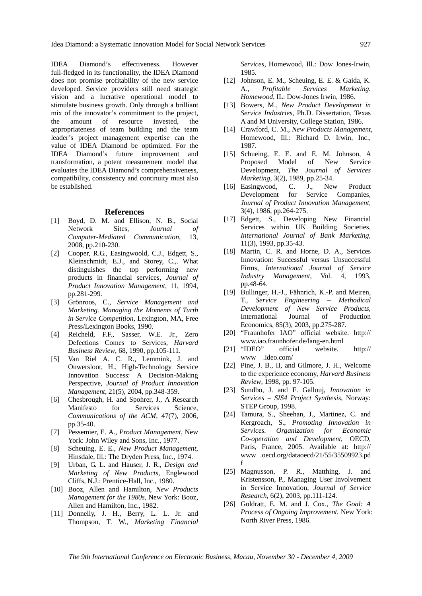IDEA Diamond's effectiveness. However full-fledged in its functionality, the IDEA Diamond does not promise profitability of the new service developed. Service providers still need strategic vision and a lucrative operational model to stimulate business growth. Only through a brilliant mix of the innovator's commitment to the project, the amount of resource invested, the appropriateness of team building and the team leader's project management expertise can the value of IDEA Diamond be optimized. For the IDEA Diamond's future improvement and transformation, a potent measurement model that evaluates the IDEA Diamond's comprehensiveness, compatibility, consistency and continuity must also be established.

#### **References**

- [1] Boyd, D. M. and Ellison, N. B., Social Network Sites, *Journal of Computer-Mediated Communication*, 13, 2008, pp.210-230.
- [2] Cooper, R.G., Easingwoold, C.J., Edgett, S., Kleinschmidt, E.J., and Storey, C.,. What distinguishes the top performing new products in financial services, *Journal of Product Innovation Management*, 11, 1994, pp.281-299.
- [3] Grönroos, C., *Service Management and Marketing. Managing the Moments of Turth in Service Competition*, Lexington, MA, Free Press/Lexington Books, 1990.
- [4] Reicheld, F.F., Sasser, W.E. Jr., Zero Defections Comes to Services, *Harvard Business Review*, 68, 1990, pp.105-111.
- [5] Van Riel A. C. R., Lemmink, J. and Ouwersloot, H., High-Technology Service Innovation Success: A Decision-Making Perspective, *Journal of Product Innovation Management*, 21(5), 2004, pp.348-359.
- [6] Chesbrough, H. and Spohrer, J., A Research Manifesto for Services Science, *Communications of the ACM*, 47(7), 2006, pp.35-40.
- [7] Pessemier, E. A., *Product Management*, New York: John Wiley and Sons, Inc., 1977.
- [8] Scheuing, E. E., *New Product Management*, Hinsdale, Ill.: The Dryden Press, Inc., 1974.
- [9] Urban, G. L. and Hauser, J. R., *Design and Marketing of New Products*, Englewood Cliffs, N.J.: Prentice-Hall, Inc., 1980.
- [10] Booz, Allen and Hamilton, *New Products Management for the 1980s*, New York: Booz, Allen and Hamilton, Inc., 1982.
- [11] Donnelly, J. H., Berry, L. L. Jr. and Thompson, T. W., *Marketing Financial*

*Services*, Homewood, Ill.: Dow Jones-Irwin, 1985.

- [12] Johnson, E. M., Scheuing, E. E. & Gaida, K. A., *Profitable Services Marketing. Homewood*, IL: Dow-Jones Irwin, 1986.
- [13] Bowers, M., *New Product Development in Service Industries*, Ph.D. Dissertation, Texas A and M University, College Station, 1986.
- [14] Crawford, C. M., *New Products Management*, Homewood, Ill.: Richard D. Irwin, Inc., 1987.
- [15] Schueing, E. E. and E. M. Johnson, A Proposed Model of New Service Development, *The Journal of Services Marketing*, 3(2), 1989, pp.25-34.
- [16] Easingwood, C. J., New Product Development for Service Companies, *Journal of Product Innovation Management*, 3(4), 1986, pp.264-275.
- [17] Edgett, S., Developing New Financial Services within UK Building Societies, *International Journal of Bank Marketing*, 11(3), 1993, pp.35-43.
- [18] Martin, C. R. and Horne, D. A., Services Innovation: Successful versus Unsuccessful Firms, *International Journal of Service Industry Management*, Vol. 4, 1993, pp.48-64.
- [19] Bullinger, H.-J., Fähnrich, K.-P. and Meiren, T., *Service Engineering – Methodical Development of New Service Products*, International Journal of Production Economics, 85(3), 2003, pp.275-287.
- [20] "Fraunhofer IAO" official website. http:// www.iao.fraunhofer.de/lang-en.html
- [21] "IDEO" official website. http:// www .ideo.com/
- [22] Pine, J. B., II, and Gilmore, J. H., Welcome to the experience economy, *Harvard Business Review*, 1998, pp. 97-105.
- [23] Sundbo, J. and F. Gallouj, *Innovation in Services – SIS4 Project Synthesis*, Norway: STEP Group, 1998.
- [24] Tamura, S., Sheehan, J., Martinez, C. and Kergroach, S., *Promoting Innovation in Services. Organization for Economic Co-operation and Development*, OECD, Paris, France, 2005. Available at: http:// www .oecd.org/dataoecd/21/55/35509923.pd f
- [25] Magnusson, P. R., Matthing, J. and Kristensson, P., Managing User Involvement in Service Innovation, *Journal of Service Research*, 6(2), 2003, pp.111-124.
- [26] Goldratt, E. M. and J. Cox., *The Goal: A Process of Ongoing Improvement.* New York: North River Press, 1986.